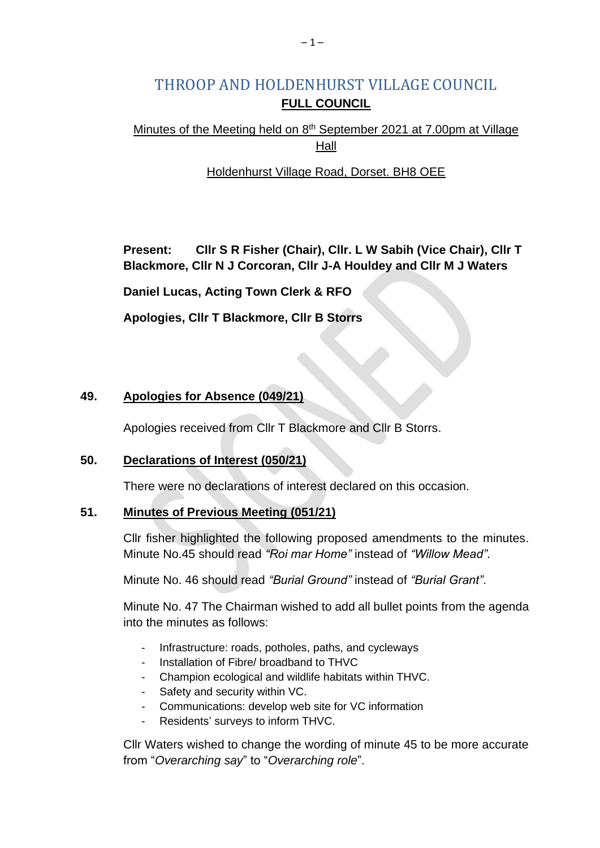# THROOP AND HOLDENHURST VILLAGE COUNCIL **FULL COUNCIL**

# Minutes of the Meeting held on 8<sup>th</sup> September 2021 at 7.00pm at Village Hall

# Holdenhurst Village Road, Dorset. BH8 OEE

**Present: Cllr S R Fisher (Chair), Cllr. L W Sabih (Vice Chair), Cllr T Blackmore, Cllr N J Corcoran, Cllr J-A Houldey and Cllr M J Waters**

**Daniel Lucas, Acting Town Clerk & RFO**

**Apologies, Cllr T Blackmore, Cllr B Storrs**

# **49. Apologies for Absence (049/21)**

Apologies received from Cllr T Blackmore and Cllr B Storrs.

# **50. Declarations of Interest (050/21)**

There were no declarations of interest declared on this occasion.

#### **51. Minutes of Previous Meeting (051/21)**

Cllr fisher highlighted the following proposed amendments to the minutes. Minute No.45 should read *"Roi mar Home"* instead of *"Willow Mead"*.

Minute No. 46 should read *"Burial Ground"* instead of *"Burial Grant"*.

Minute No. 47 The Chairman wished to add all bullet points from the agenda into the minutes as follows:

- Infrastructure: roads, potholes, paths, and cycleways
- Installation of Fibre/ broadband to THVC
- Champion ecological and wildlife habitats within THVC.
- Safety and security within VC.
- Communications: develop web site for VC information
- Residents' surveys to inform THVC.

Cllr Waters wished to change the wording of minute 45 to be more accurate from "*Overarching say*" to "*Overarching role*".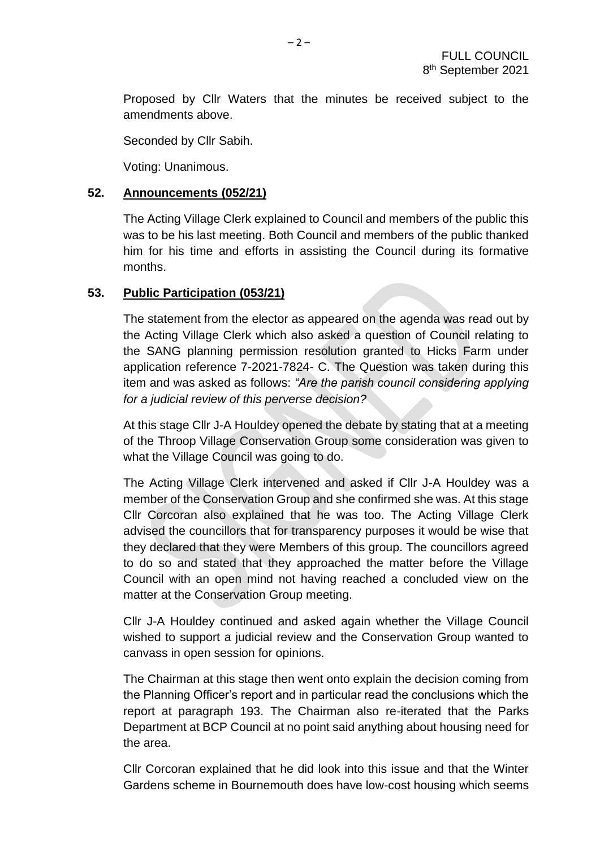Proposed by Cllr Waters that the minutes be received subject to the amendments above.

Seconded by Cllr Sabih.

Voting: Unanimous.

# **52. Announcements (052/21)**

The Acting Village Clerk explained to Council and members of the public this was to be his last meeting. Both Council and members of the public thanked him for his time and efforts in assisting the Council during its formative months.

# **53. Public Participation (053/21)**

The statement from the elector as appeared on the agenda was read out by the Acting Village Clerk which also asked a question of Council relating to the SANG planning permission resolution granted to Hicks Farm under application reference 7-2021-7824- C. The Question was taken during this item and was asked as follows: *"Are the parish council considering applying for a judicial review of this perverse decision?*

At this stage Cllr J-A Houldey opened the debate by stating that at a meeting of the Throop Village Conservation Group some consideration was given to what the Village Council was going to do.

The Acting Village Clerk intervened and asked if Cllr J-A Houldey was a member of the Conservation Group and she confirmed she was. At this stage Cllr Corcoran also explained that he was too. The Acting Village Clerk advised the councillors that for transparency purposes it would be wise that they declared that they were Members of this group. The councillors agreed to do so and stated that they approached the matter before the Village Council with an open mind not having reached a concluded view on the matter at the Conservation Group meeting.

Cllr J-A Houldey continued and asked again whether the Village Council wished to support a judicial review and the Conservation Group wanted to canvass in open session for opinions.

The Chairman at this stage then went onto explain the decision coming from the Planning Officer's report and in particular read the conclusions which the report at paragraph 193. The Chairman also re-iterated that the Parks Department at BCP Council at no point said anything about housing need for the area.

Cllr Corcoran explained that he did look into this issue and that the Winter Gardens scheme in Bournemouth does have low-cost housing which seems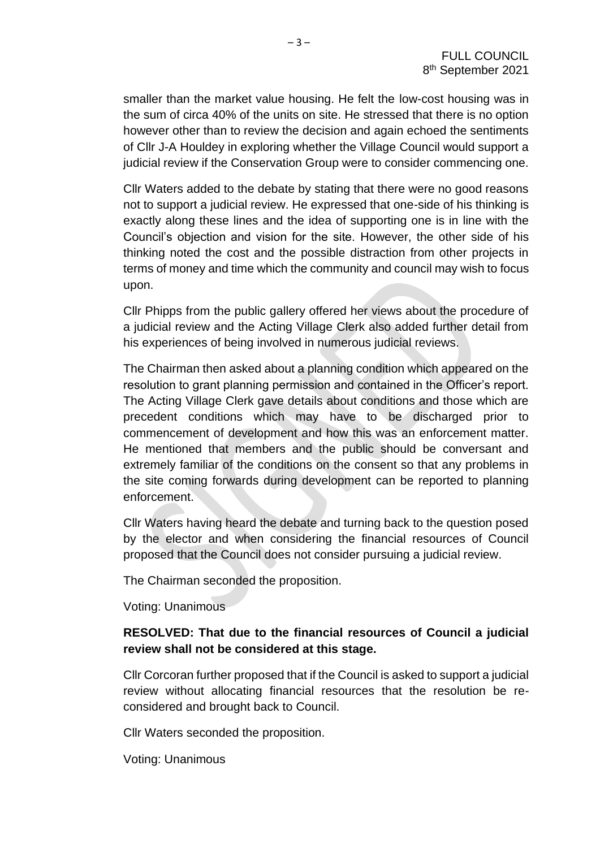smaller than the market value housing. He felt the low-cost housing was in the sum of circa 40% of the units on site. He stressed that there is no option however other than to review the decision and again echoed the sentiments of Cllr J-A Houldey in exploring whether the Village Council would support a judicial review if the Conservation Group were to consider commencing one.

Cllr Waters added to the debate by stating that there were no good reasons not to support a judicial review. He expressed that one-side of his thinking is exactly along these lines and the idea of supporting one is in line with the Council's objection and vision for the site. However, the other side of his thinking noted the cost and the possible distraction from other projects in terms of money and time which the community and council may wish to focus upon.

Cllr Phipps from the public gallery offered her views about the procedure of a judicial review and the Acting Village Clerk also added further detail from his experiences of being involved in numerous judicial reviews.

The Chairman then asked about a planning condition which appeared on the resolution to grant planning permission and contained in the Officer's report. The Acting Village Clerk gave details about conditions and those which are precedent conditions which may have to be discharged prior to commencement of development and how this was an enforcement matter. He mentioned that members and the public should be conversant and extremely familiar of the conditions on the consent so that any problems in the site coming forwards during development can be reported to planning enforcement.

Cllr Waters having heard the debate and turning back to the question posed by the elector and when considering the financial resources of Council proposed that the Council does not consider pursuing a judicial review.

The Chairman seconded the proposition.

Voting: Unanimous

# **RESOLVED: That due to the financial resources of Council a judicial review shall not be considered at this stage.**

Cllr Corcoran further proposed that if the Council is asked to support a judicial review without allocating financial resources that the resolution be reconsidered and brought back to Council.

Cllr Waters seconded the proposition.

Voting: Unanimous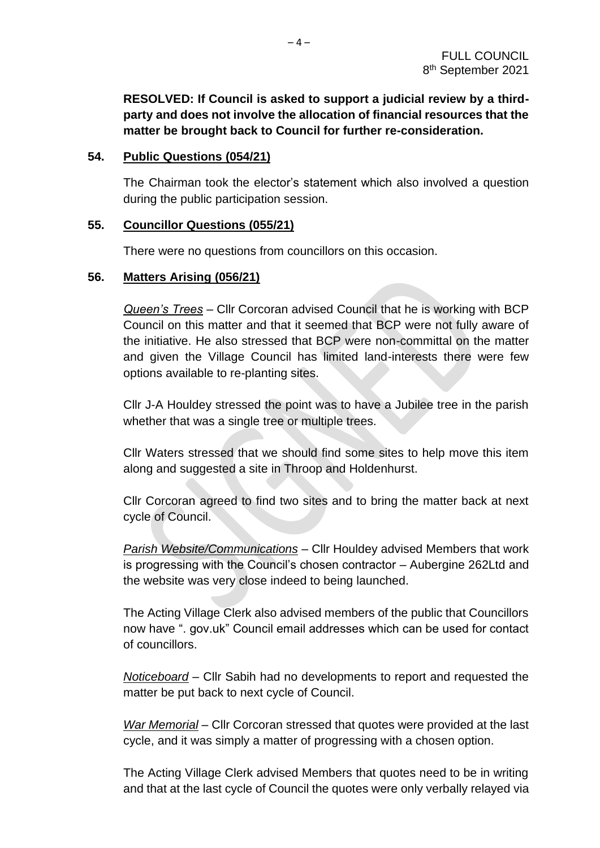**RESOLVED: If Council is asked to support a judicial review by a thirdparty and does not involve the allocation of financial resources that the matter be brought back to Council for further re-consideration.**

# **54. Public Questions (054/21)**

The Chairman took the elector's statement which also involved a question during the public participation session.

# **55. Councillor Questions (055/21)**

There were no questions from councillors on this occasion.

# **56. Matters Arising (056/21)**

*Queen's Trees* – Cllr Corcoran advised Council that he is working with BCP Council on this matter and that it seemed that BCP were not fully aware of the initiative. He also stressed that BCP were non-committal on the matter and given the Village Council has limited land-interests there were few options available to re-planting sites.

Cllr J-A Houldey stressed the point was to have a Jubilee tree in the parish whether that was a single tree or multiple trees.

Cllr Waters stressed that we should find some sites to help move this item along and suggested a site in Throop and Holdenhurst.

Cllr Corcoran agreed to find two sites and to bring the matter back at next cycle of Council.

*Parish Website/Communications* – Cllr Houldey advised Members that work is progressing with the Council's chosen contractor – Aubergine 262Ltd and the website was very close indeed to being launched.

The Acting Village Clerk also advised members of the public that Councillors now have ". gov.uk" Council email addresses which can be used for contact of councillors.

*Noticeboard –* Cllr Sabih had no developments to report and requested the matter be put back to next cycle of Council.

*War Memorial* – Cllr Corcoran stressed that quotes were provided at the last cycle, and it was simply a matter of progressing with a chosen option.

The Acting Village Clerk advised Members that quotes need to be in writing and that at the last cycle of Council the quotes were only verbally relayed via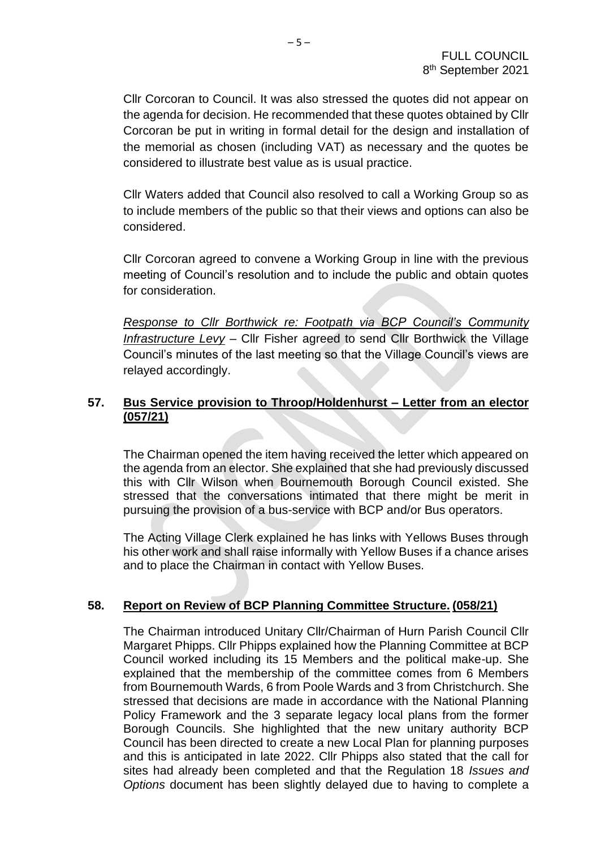Cllr Corcoran to Council. It was also stressed the quotes did not appear on the agenda for decision. He recommended that these quotes obtained by Cllr Corcoran be put in writing in formal detail for the design and installation of the memorial as chosen (including VAT) as necessary and the quotes be considered to illustrate best value as is usual practice.

Cllr Waters added that Council also resolved to call a Working Group so as to include members of the public so that their views and options can also be considered.

Cllr Corcoran agreed to convene a Working Group in line with the previous meeting of Council's resolution and to include the public and obtain quotes for consideration.

*Response to Cllr Borthwick re: Footpath via BCP Council's Community Infrastructure Levy* – Cllr Fisher agreed to send Cllr Borthwick the Village Council's minutes of the last meeting so that the Village Council's views are relayed accordingly.

# **57. Bus Service provision to Throop/Holdenhurst – Letter from an elector (057/21)**

The Chairman opened the item having received the letter which appeared on the agenda from an elector. She explained that she had previously discussed this with Cllr Wilson when Bournemouth Borough Council existed. She stressed that the conversations intimated that there might be merit in pursuing the provision of a bus-service with BCP and/or Bus operators.

The Acting Village Clerk explained he has links with Yellows Buses through his other work and shall raise informally with Yellow Buses if a chance arises and to place the Chairman in contact with Yellow Buses.

# **58. Report on Review of BCP Planning Committee Structure. (058/21)**

The Chairman introduced Unitary Cllr/Chairman of Hurn Parish Council Cllr Margaret Phipps. Cllr Phipps explained how the Planning Committee at BCP Council worked including its 15 Members and the political make-up. She explained that the membership of the committee comes from 6 Members from Bournemouth Wards, 6 from Poole Wards and 3 from Christchurch. She stressed that decisions are made in accordance with the National Planning Policy Framework and the 3 separate legacy local plans from the former Borough Councils. She highlighted that the new unitary authority BCP Council has been directed to create a new Local Plan for planning purposes and this is anticipated in late 2022. Cllr Phipps also stated that the call for sites had already been completed and that the Regulation 18 *Issues and Options* document has been slightly delayed due to having to complete a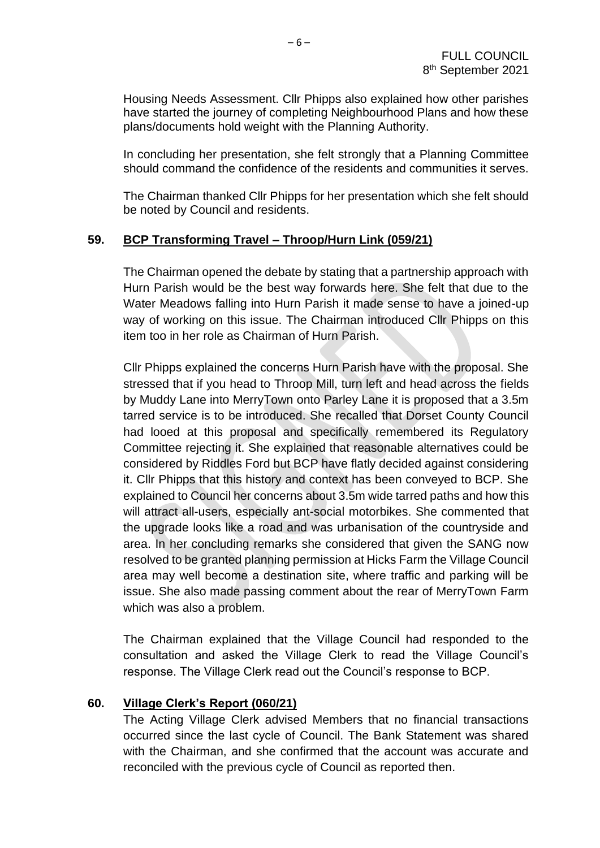Housing Needs Assessment. Cllr Phipps also explained how other parishes have started the journey of completing Neighbourhood Plans and how these plans/documents hold weight with the Planning Authority.

In concluding her presentation, she felt strongly that a Planning Committee should command the confidence of the residents and communities it serves.

The Chairman thanked Cllr Phipps for her presentation which she felt should be noted by Council and residents.

#### **59. BCP Transforming Travel – Throop/Hurn Link (059/21)**

The Chairman opened the debate by stating that a partnership approach with Hurn Parish would be the best way forwards here. She felt that due to the Water Meadows falling into Hurn Parish it made sense to have a joined-up way of working on this issue. The Chairman introduced Cllr Phipps on this item too in her role as Chairman of Hurn Parish.

Cllr Phipps explained the concerns Hurn Parish have with the proposal. She stressed that if you head to Throop Mill, turn left and head across the fields by Muddy Lane into MerryTown onto Parley Lane it is proposed that a 3.5m tarred service is to be introduced. She recalled that Dorset County Council had looed at this proposal and specifically remembered its Regulatory Committee rejecting it. She explained that reasonable alternatives could be considered by Riddles Ford but BCP have flatly decided against considering it. Cllr Phipps that this history and context has been conveyed to BCP. She explained to Council her concerns about 3.5m wide tarred paths and how this will attract all-users, especially ant-social motorbikes. She commented that the upgrade looks like a road and was urbanisation of the countryside and area. In her concluding remarks she considered that given the SANG now resolved to be granted planning permission at Hicks Farm the Village Council area may well become a destination site, where traffic and parking will be issue. She also made passing comment about the rear of MerryTown Farm which was also a problem.

The Chairman explained that the Village Council had responded to the consultation and asked the Village Clerk to read the Village Council's response. The Village Clerk read out the Council's response to BCP.

#### **60. Village Clerk's Report (060/21)**

The Acting Village Clerk advised Members that no financial transactions occurred since the last cycle of Council. The Bank Statement was shared with the Chairman, and she confirmed that the account was accurate and reconciled with the previous cycle of Council as reported then.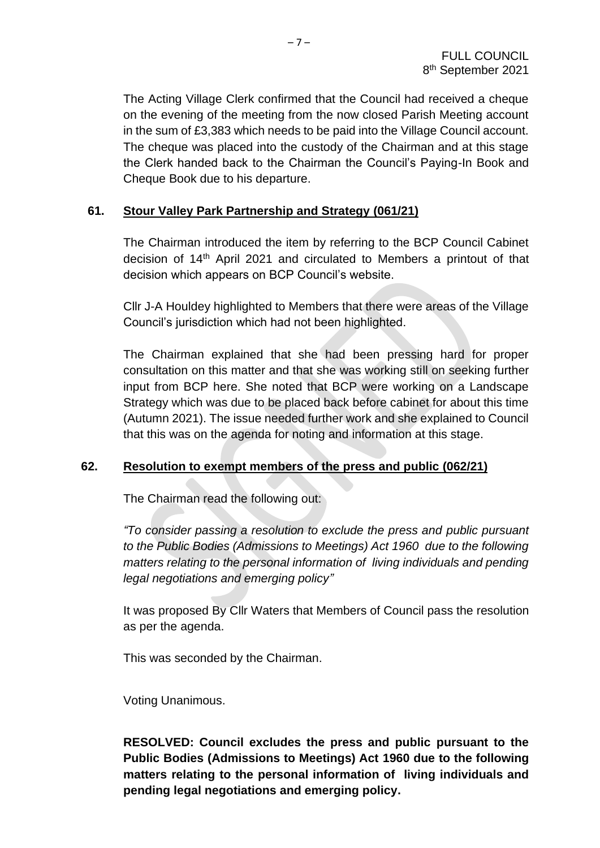The Acting Village Clerk confirmed that the Council had received a cheque on the evening of the meeting from the now closed Parish Meeting account in the sum of £3,383 which needs to be paid into the Village Council account. The cheque was placed into the custody of the Chairman and at this stage the Clerk handed back to the Chairman the Council's Paying-In Book and Cheque Book due to his departure.

#### **61. Stour Valley Park Partnership and Strategy (061/21)**

The Chairman introduced the item by referring to the BCP Council Cabinet decision of 14th April 2021 and circulated to Members a printout of that decision which appears on BCP Council's website.

Cllr J-A Houldey highlighted to Members that there were areas of the Village Council's jurisdiction which had not been highlighted.

The Chairman explained that she had been pressing hard for proper consultation on this matter and that she was working still on seeking further input from BCP here. She noted that BCP were working on a Landscape Strategy which was due to be placed back before cabinet for about this time (Autumn 2021). The issue needed further work and she explained to Council that this was on the agenda for noting and information at this stage.

#### **62. Resolution to exempt members of the press and public (062/21)**

The Chairman read the following out:

*"To consider passing a resolution to exclude the press and public pursuant to the Public Bodies (Admissions to Meetings) Act 1960 due to the following matters relating to the personal information of living individuals and pending legal negotiations and emerging policy"*

It was proposed By Cllr Waters that Members of Council pass the resolution as per the agenda.

This was seconded by the Chairman.

Voting Unanimous.

**RESOLVED: Council excludes the press and public pursuant to the Public Bodies (Admissions to Meetings) Act 1960 due to the following matters relating to the personal information of living individuals and pending legal negotiations and emerging policy.**